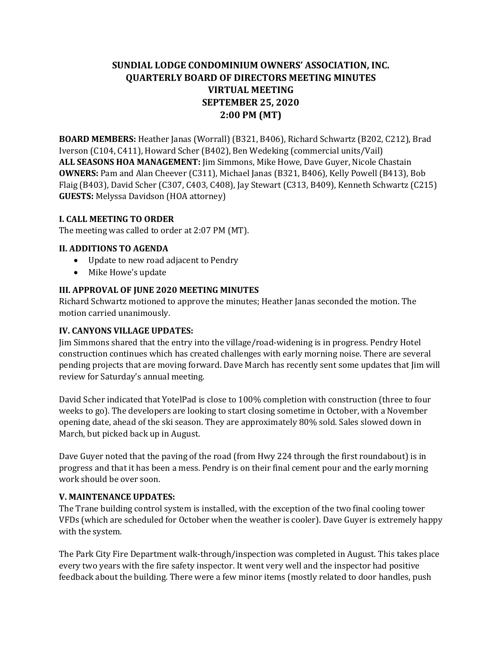# **SUNDIAL LODGE CONDOMINIUM OWNERS' ASSOCIATION, INC. QUARTERLY BOARD OF DIRECTORS MEETING MINUTES VIRTUAL MEETING SEPTEMBER 25, 2020 2:00 PM (MT)**

**BOARD MEMBERS:** Heather Janas (Worrall) (B321, B406), Richard Schwartz (B202, C212), Brad Iverson (C104, C411), Howard Scher (B402), Ben Wedeking (commercial units/Vail) **ALL SEASONS HOA MANAGEMENT:** Jim Simmons, Mike Howe, Dave Guyer, Nicole Chastain **OWNERS:** Pam and Alan Cheever (C311), Michael Janas (B321, B406), Kelly Powell (B413), Bob Flaig (B403), David Scher (C307, C403, C408), Jay Stewart (C313, B409), Kenneth Schwartz (C215) **GUESTS:** Melyssa Davidson (HOA attorney)

# **I. CALL MEETING TO ORDER**

The meeting was called to order at 2:07 PM (MT).

# **II. ADDITIONS TO AGENDA**

- Update to new road adjacent to Pendry
- Mike Howe's update

#### **III. APPROVAL OF JUNE 2020 MEETING MINUTES**

Richard Schwartz motioned to approve the minutes; Heather Janas seconded the motion. The motion carried unanimously.

#### **IV. CANYONS VILLAGE UPDATES:**

Jim Simmons shared that the entry into the village/road-widening is in progress. Pendry Hotel construction continues which has created challenges with early morning noise. There are several pending projects that are moving forward. Dave March has recently sent some updates that Jim will review for Saturday's annual meeting.

David Scher indicated that YotelPad is close to 100% completion with construction (three to four weeks to go). The developers are looking to start closing sometime in October, with a November opening date, ahead of the ski season. They are approximately 80% sold. Sales slowed down in March, but picked back up in August.

Dave Guyer noted that the paving of the road (from Hwy 224 through the first roundabout) is in progress and that it has been a mess. Pendry is on their final cement pour and the early morning work should be over soon.

#### **V. MAINTENANCE UPDATES:**

The Trane building control system is installed, with the exception of the two final cooling tower VFDs (which are scheduled for October when the weather is cooler). Dave Guyer is extremely happy with the system.

The Park City Fire Department walk-through/inspection was completed in August. This takes place every two years with the fire safety inspector. It went very well and the inspector had positive feedback about the building. There were a few minor items (mostly related to door handles, push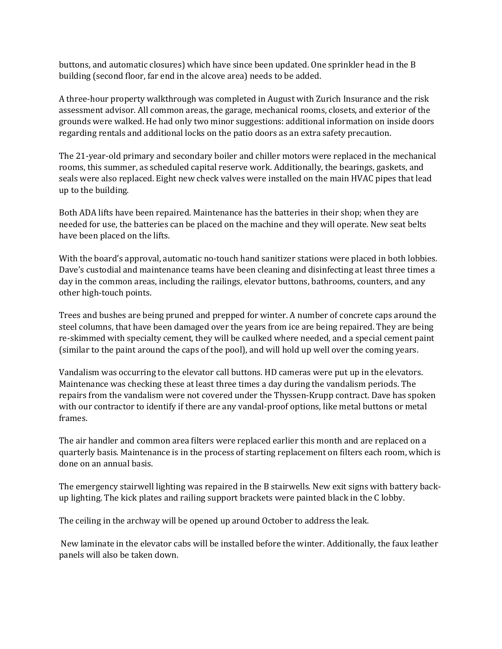buttons, and automatic closures) which have since been updated. One sprinkler head in the B building (second floor, far end in the alcove area) needs to be added.

A three-hour property walkthrough was completed in August with Zurich Insurance and the risk assessment advisor. All common areas, the garage, mechanical rooms, closets, and exterior of the grounds were walked. He had only two minor suggestions: additional information on inside doors regarding rentals and additional locks on the patio doors as an extra safety precaution.

The 21-year-old primary and secondary boiler and chiller motors were replaced in the mechanical rooms, this summer, as scheduled capital reserve work. Additionally, the bearings, gaskets, and seals were also replaced. Eight new check valves were installed on the main HVAC pipes that lead up to the building.

Both ADA lifts have been repaired. Maintenance has the batteries in their shop; when they are needed for use, the batteries can be placed on the machine and they will operate. New seat belts have been placed on the lifts.

With the board's approval, automatic no-touch hand sanitizer stations were placed in both lobbies. Dave's custodial and maintenance teams have been cleaning and disinfecting at least three times a day in the common areas, including the railings, elevator buttons, bathrooms, counters, and any other high-touch points.

Trees and bushes are being pruned and prepped for winter. A number of concrete caps around the steel columns, that have been damaged over the years from ice are being repaired. They are being re-skimmed with specialty cement, they will be caulked where needed, and a special cement paint (similar to the paint around the caps of the pool), and will hold up well over the coming years.

Vandalism was occurring to the elevator call buttons. HD cameras were put up in the elevators. Maintenance was checking these at least three times a day during the vandalism periods. The repairs from the vandalism were not covered under the Thyssen-Krupp contract. Dave has spoken with our contractor to identify if there are any vandal-proof options, like metal buttons or metal frames.

The air handler and common area filters were replaced earlier this month and are replaced on a quarterly basis. Maintenance is in the process of starting replacement on filters each room, which is done on an annual basis.

The emergency stairwell lighting was repaired in the B stairwells. New exit signs with battery backup lighting. The kick plates and railing support brackets were painted black in the C lobby.

The ceiling in the archway will be opened up around October to address the leak.

New laminate in the elevator cabs will be installed before the winter. Additionally, the faux leather panels will also be taken down.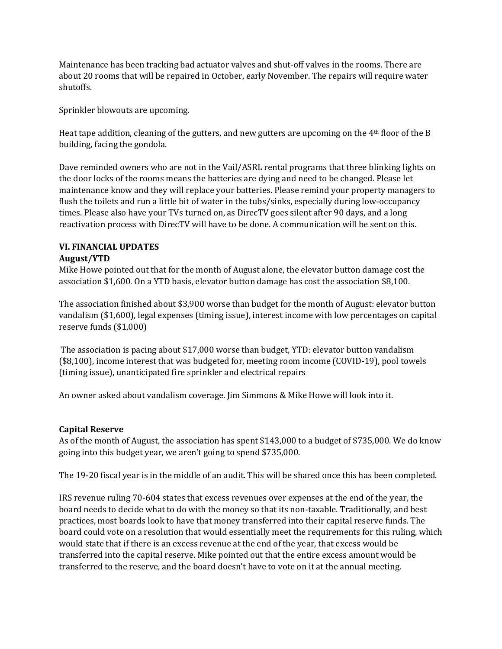Maintenance has been tracking bad actuator valves and shut-off valves in the rooms. There are about 20 rooms that will be repaired in October, early November. The repairs will require water shutoffs.

Sprinkler blowouts are upcoming.

Heat tape addition, cleaning of the gutters, and new gutters are upcoming on the 4th floor of the B building, facing the gondola.

Dave reminded owners who are not in the Vail/ASRL rental programs that three blinking lights on the door locks of the rooms means the batteries are dying and need to be changed. Please let maintenance know and they will replace your batteries. Please remind your property managers to flush the toilets and run a little bit of water in the tubs/sinks, especially during low-occupancy times. Please also have your TVs turned on, as DirecTV goes silent after 90 days, and a long reactivation process with DirecTV will have to be done. A communication will be sent on this.

#### **VI. FINANCIAL UPDATES August/YTD**

Mike Howe pointed out that for the month of August alone, the elevator button damage cost the association \$1,600. On a YTD basis, elevator button damage has cost the association \$8,100.

The association finished about \$3,900 worse than budget for the month of August: elevator button vandalism (\$1,600), legal expenses (timing issue), interest income with low percentages on capital reserve funds (\$1,000)

The association is pacing about \$17,000 worse than budget, YTD: elevator button vandalism (\$8,100), income interest that was budgeted for, meeting room income (COVID-19), pool towels (timing issue), unanticipated fire sprinkler and electrical repairs

An owner asked about vandalism coverage. Jim Simmons & Mike Howe will look into it.

# **Capital Reserve**

As of the month of August, the association has spent \$143,000 to a budget of \$735,000. We do know going into this budget year, we aren't going to spend \$735,000.

The 19-20 fiscal year is in the middle of an audit. This will be shared once this has been completed.

IRS revenue ruling 70-604 states that excess revenues over expenses at the end of the year, the board needs to decide what to do with the money so that its non-taxable. Traditionally, and best practices, most boards look to have that money transferred into their capital reserve funds. The board could vote on a resolution that would essentially meet the requirements for this ruling, which would state that if there is an excess revenue at the end of the year, that excess would be transferred into the capital reserve. Mike pointed out that the entire excess amount would be transferred to the reserve, and the board doesn't have to vote on it at the annual meeting.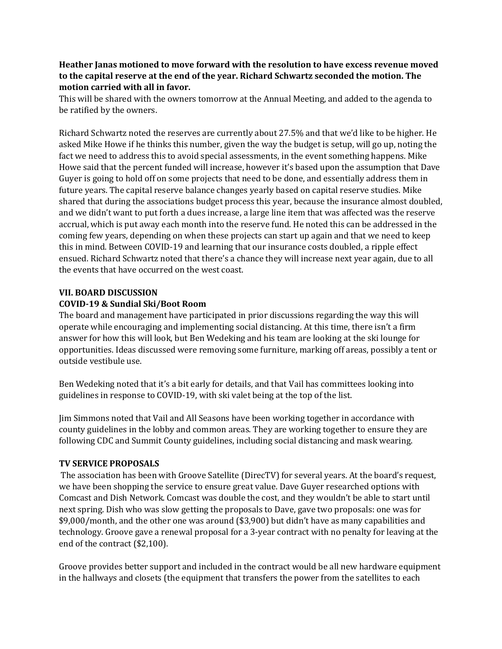# **Heather Janas motioned to move forward with the resolution to have excess revenue moved to the capital reserve at the end of the year. Richard Schwartz seconded the motion. The motion carried with all in favor.**

This will be shared with the owners tomorrow at the Annual Meeting, and added to the agenda to be ratified by the owners.

Richard Schwartz noted the reserves are currently about 27.5% and that we'd like to be higher. He asked Mike Howe if he thinks this number, given the way the budget is setup, will go up, noting the fact we need to address this to avoid special assessments, in the event something happens. Mike Howe said that the percent funded will increase, however it's based upon the assumption that Dave Guyer is going to hold off on some projects that need to be done, and essentially address them in future years. The capital reserve balance changes yearly based on capital reserve studies. Mike shared that during the associations budget process this year, because the insurance almost doubled, and we didn't want to put forth a dues increase, a large line item that was affected was the reserve accrual, which is put away each month into the reserve fund. He noted this can be addressed in the coming few years, depending on when these projects can start up again and that we need to keep this in mind. Between COVID-19 and learning that our insurance costs doubled, a ripple effect ensued. Richard Schwartz noted that there's a chance they will increase next year again, due to all the events that have occurred on the west coast.

# **VII. BOARD DISCUSSION**

# **COVID-19 & Sundial Ski/Boot Room**

The board and management have participated in prior discussions regarding the way this will operate while encouraging and implementing social distancing. At this time, there isn't a firm answer for how this will look, but Ben Wedeking and his team are looking at the ski lounge for opportunities. Ideas discussed were removing some furniture, marking off areas, possibly a tent or outside vestibule use.

Ben Wedeking noted that it's a bit early for details, and that Vail has committees looking into guidelines in response to COVID-19, with ski valet being at the top of the list.

Jim Simmons noted that Vail and All Seasons have been working together in accordance with county guidelines in the lobby and common areas. They are working together to ensure they are following CDC and Summit County guidelines, including social distancing and mask wearing.

# **TV SERVICE PROPOSALS**

The association has been with Groove Satellite (DirecTV) for several years. At the board's request, we have been shopping the service to ensure great value. Dave Guyer researched options with Comcast and Dish Network. Comcast was double the cost, and they wouldn't be able to start until next spring. Dish who was slow getting the proposals to Dave, gave two proposals: one was for \$9,000/month, and the other one was around (\$3,900) but didn't have as many capabilities and technology. Groove gave a renewal proposal for a 3-year contract with no penalty for leaving at the end of the contract (\$2,100).

Groove provides better support and included in the contract would be all new hardware equipment in the hallways and closets (the equipment that transfers the power from the satellites to each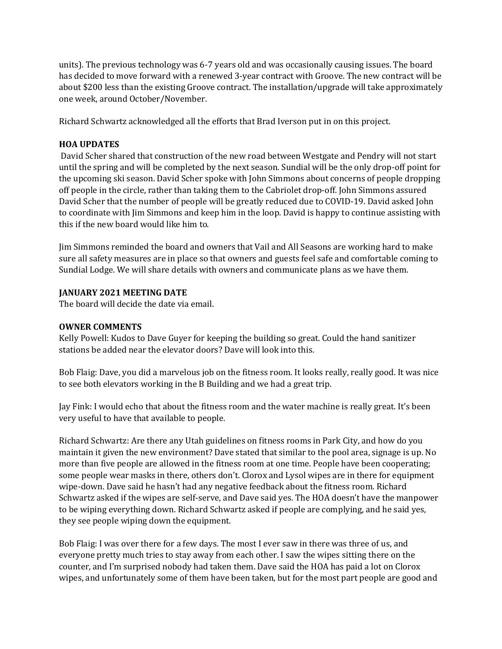units). The previous technology was 6-7 years old and was occasionally causing issues. The board has decided to move forward with a renewed 3-year contract with Groove. The new contract will be about \$200 less than the existing Groove contract. The installation/upgrade will take approximately one week, around October/November.

Richard Schwartz acknowledged all the efforts that Brad Iverson put in on this project.

# **HOA UPDATES**

David Scher shared that construction of the new road between Westgate and Pendry will not start until the spring and will be completed by the next season. Sundial will be the only drop-off point for the upcoming ski season. David Scher spoke with John Simmons about concerns of people dropping off people in the circle, rather than taking them to the Cabriolet drop-off. John Simmons assured David Scher that the number of people will be greatly reduced due to COVID-19. David asked John to coordinate with Jim Simmons and keep him in the loop. David is happy to continue assisting with this if the new board would like him to.

Jim Simmons reminded the board and owners that Vail and All Seasons are working hard to make sure all safety measures are in place so that owners and guests feel safe and comfortable coming to Sundial Lodge. We will share details with owners and communicate plans as we have them.

# **JANUARY 2021 MEETING DATE**

The board will decide the date via email.

# **OWNER COMMENTS**

Kelly Powell: Kudos to Dave Guyer for keeping the building so great. Could the hand sanitizer stations be added near the elevator doors? Dave will look into this.

Bob Flaig: Dave, you did a marvelous job on the fitness room. It looks really, really good. It was nice to see both elevators working in the B Building and we had a great trip.

Jay Fink: I would echo that about the fitness room and the water machine is really great. It's been very useful to have that available to people.

Richard Schwartz: Are there any Utah guidelines on fitness rooms in Park City, and how do you maintain it given the new environment? Dave stated that similar to the pool area, signage is up. No more than five people are allowed in the fitness room at one time. People have been cooperating; some people wear masks in there, others don't. Clorox and Lysol wipes are in there for equipment wipe-down. Dave said he hasn't had any negative feedback about the fitness room. Richard Schwartz asked if the wipes are self-serve, and Dave said yes. The HOA doesn't have the manpower to be wiping everything down. Richard Schwartz asked if people are complying, and he said yes, they see people wiping down the equipment.

Bob Flaig: I was over there for a few days. The most I ever saw in there was three of us, and everyone pretty much tries to stay away from each other. I saw the wipes sitting there on the counter, and I'm surprised nobody had taken them. Dave said the HOA has paid a lot on Clorox wipes, and unfortunately some of them have been taken, but for the most part people are good and